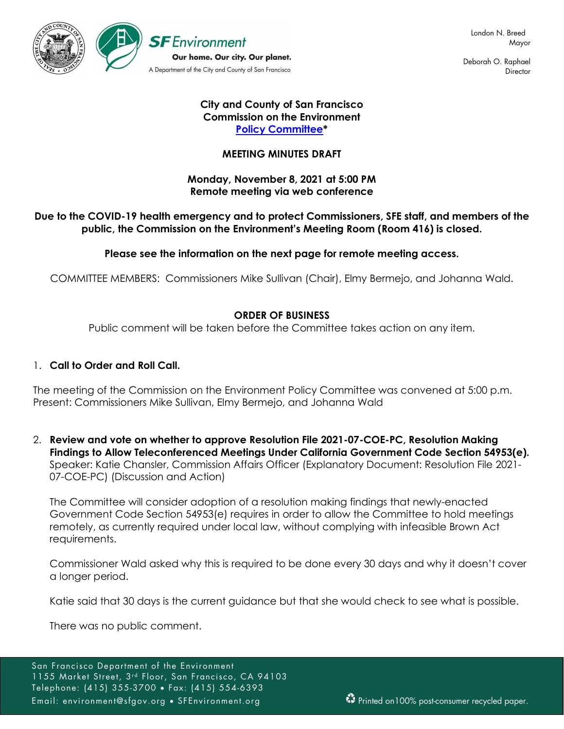

Deborah O. Raphael **Director** 

## **City and County of San Francisco Commission on the Environment [Policy Committee\\*](https://sfenvironment.org/about/taskforce/environment-commission-subcommittee-policy)**

# **MEETING MINUTES DRAFT**

### **Monday, November 8, 2021 at 5:00 PM Remote meeting via web conference**

## **Due to the COVID-19 health emergency and to protect Commissioners, SFE staff, and members of the public, the Commission on the Environment's Meeting Room (Room 416) is closed.**

# **Please see the information on the next page for remote meeting access.**

COMMITTEE MEMBERS: Commissioners Mike Sullivan (Chair), Elmy Bermejo, and Johanna Wald.

## **ORDER OF BUSINESS**

Public comment will be taken before the Committee takes action on any item.

## 1. **Call to Order and Roll Call.**

The meeting of the Commission on the Environment Policy Committee was convened at 5:00 p.m. Present: Commissioners Mike Sullivan, Elmy Bermejo, and Johanna Wald

2. **Review and vote on whether to approve Resolution File 2021-07-COE-PC, Resolution Making Findings to Allow Teleconferenced Meetings Under California Government Code Section 54953(e).** Speaker: Katie Chansler, Commission Affairs Officer (Explanatory Document: Resolution File 2021- 07-COE-PC) (Discussion and Action)

The Committee will consider adoption of a resolution making findings that newly-enacted Government Code Section 54953(e) requires in order to allow the Committee to hold meetings remotely, as currently required under local law, without complying with infeasible Brown Act requirements.

Commissioner Wald asked why this is required to be done every 30 days and why it doesn't cover a longer period.

Katie said that 30 days is the current guidance but that she would check to see what is possible.

There was no public comment.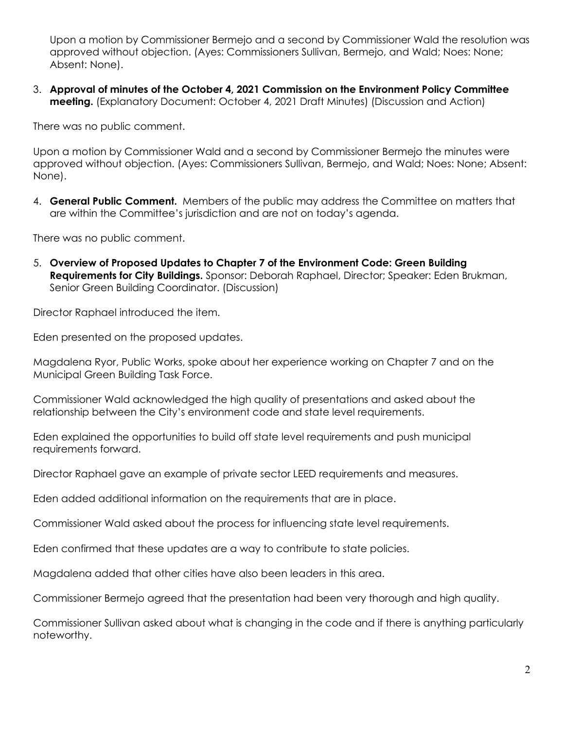Upon a motion by Commissioner Bermejo and a second by Commissioner Wald the resolution was approved without objection. (Ayes: Commissioners Sullivan, Bermejo, and Wald; Noes: None; Absent: None).

3. **Approval of minutes of the October 4, 2021 Commission on the Environment Policy Committee meeting.** (Explanatory Document: October 4, 2021 Draft Minutes) (Discussion and Action)

There was no public comment.

Upon a motion by Commissioner Wald and a second by Commissioner Bermejo the minutes were approved without objection. (Ayes: Commissioners Sullivan, Bermejo, and Wald; Noes: None; Absent: None).

4. **General Public Comment.** Members of the public may address the Committee on matters that are within the Committee's jurisdiction and are not on today's agenda.

There was no public comment.

5. **Overview of Proposed Updates to Chapter 7 of the Environment Code: Green Building Requirements for City Buildings.** Sponsor: Deborah Raphael, Director; Speaker: Eden Brukman, Senior Green Building Coordinator. (Discussion)

Director Raphael introduced the item.

Eden presented on the proposed updates.

Magdalena Ryor, Public Works, spoke about her experience working on Chapter 7 and on the Municipal Green Building Task Force.

Commissioner Wald acknowledged the high quality of presentations and asked about the relationship between the City's environment code and state level requirements.

Eden explained the opportunities to build off state level requirements and push municipal requirements forward.

Director Raphael gave an example of private sector LEED requirements and measures.

Eden added additional information on the requirements that are in place.

Commissioner Wald asked about the process for influencing state level requirements.

Eden confirmed that these updates are a way to contribute to state policies.

Magdalena added that other cities have also been leaders in this area.

Commissioner Bermejo agreed that the presentation had been very thorough and high quality.

Commissioner Sullivan asked about what is changing in the code and if there is anything particularly noteworthy.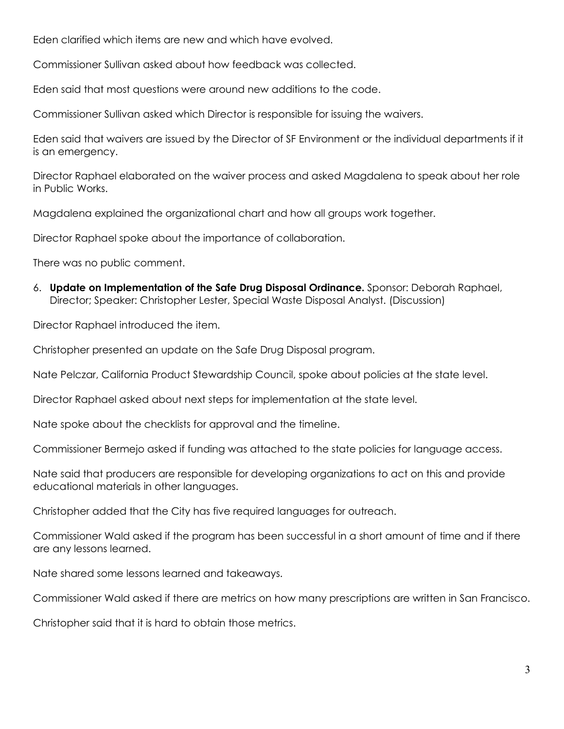Eden clarified which items are new and which have evolved.

Commissioner Sullivan asked about how feedback was collected.

Eden said that most questions were around new additions to the code.

Commissioner Sullivan asked which Director is responsible for issuing the waivers.

Eden said that waivers are issued by the Director of SF Environment or the individual departments if it is an emergency.

Director Raphael elaborated on the waiver process and asked Magdalena to speak about her role in Public Works.

Magdalena explained the organizational chart and how all groups work together.

Director Raphael spoke about the importance of collaboration.

There was no public comment.

6. **Update on Implementation of the Safe Drug Disposal Ordinance.** Sponsor: Deborah Raphael, Director; Speaker: Christopher Lester, Special Waste Disposal Analyst. (Discussion)

Director Raphael introduced the item.

Christopher presented an update on the Safe Drug Disposal program.

Nate Pelczar, California Product Stewardship Council, spoke about policies at the state level.

Director Raphael asked about next steps for implementation at the state level.

Nate spoke about the checklists for approval and the timeline.

Commissioner Bermejo asked if funding was attached to the state policies for language access.

Nate said that producers are responsible for developing organizations to act on this and provide educational materials in other languages.

Christopher added that the City has five required languages for outreach.

Commissioner Wald asked if the program has been successful in a short amount of time and if there are any lessons learned.

Nate shared some lessons learned and takeaways.

Commissioner Wald asked if there are metrics on how many prescriptions are written in San Francisco.

Christopher said that it is hard to obtain those metrics.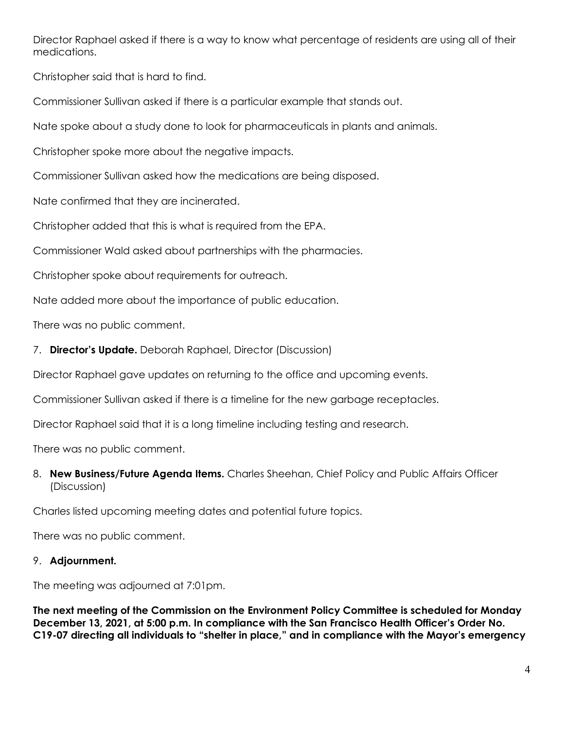Director Raphael asked if there is a way to know what percentage of residents are using all of their medications.

Christopher said that is hard to find.

Commissioner Sullivan asked if there is a particular example that stands out.

Nate spoke about a study done to look for pharmaceuticals in plants and animals.

Christopher spoke more about the negative impacts.

Commissioner Sullivan asked how the medications are being disposed.

Nate confirmed that they are incinerated.

Christopher added that this is what is required from the EPA.

Commissioner Wald asked about partnerships with the pharmacies.

Christopher spoke about requirements for outreach.

Nate added more about the importance of public education.

There was no public comment.

7. **Director's Update.** Deborah Raphael, Director (Discussion)

Director Raphael gave updates on returning to the office and upcoming events.

Commissioner Sullivan asked if there is a timeline for the new garbage receptacles.

Director Raphael said that it is a long timeline including testing and research.

There was no public comment.

8. **New Business/Future Agenda Items.** Charles Sheehan, Chief Policy and Public Affairs Officer (Discussion)

Charles listed upcoming meeting dates and potential future topics.

There was no public comment.

# 9. **Adjournment.**

The meeting was adjourned at 7:01pm.

**The next meeting of the Commission on the Environment Policy Committee is scheduled for Monday December 13, 2021, at 5:00 p.m. In compliance with the San Francisco Health Officer's Order No. C19-07 directing all individuals to "shelter in place," and in compliance with the Mayor's emergency**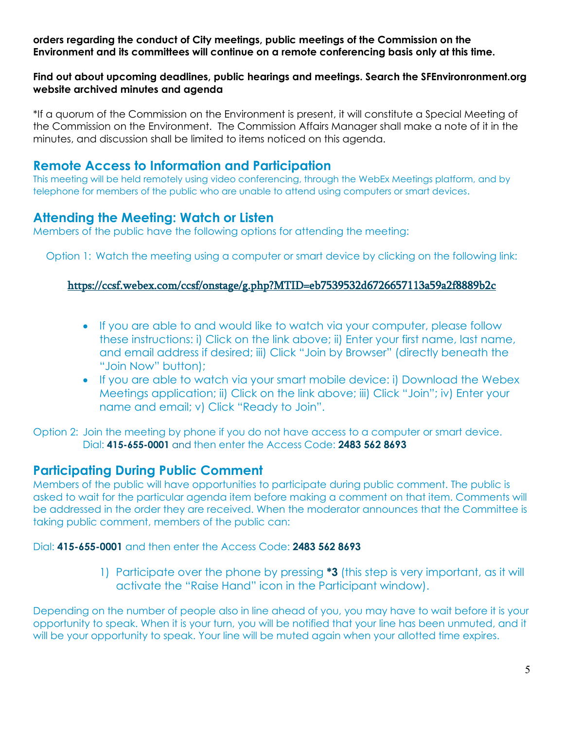**orders regarding the conduct of City meetings, public meetings of the Commission on the Environment and its committees will continue on a remote conferencing basis only at this time.**

### **Find out about upcoming deadlines, public hearings and meetings. Search the SFEnvironronment.org website archived minutes and agenda**

\*If a quorum of the Commission on the Environment is present, it will constitute a Special Meeting of the Commission on the Environment. The Commission Affairs Manager shall make a note of it in the minutes, and discussion shall be limited to items noticed on this agenda.

# **Remote Access to Information and Participation**

This meeting will be held remotely using video conferencing, through the WebEx Meetings platform, and by telephone for members of the public who are unable to attend using computers or smart devices.

# **Attending the Meeting: Watch or Listen**

Members of the public have the following options for attending the meeting:

Option 1: Watch the meeting using a computer or smart device by clicking on the following link:

# <https://ccsf.webex.com/ccsf/onstage/g.php?MTID=eb7539532d6726657113a59a2f8889b2c>

- If you are able to and would like to watch via your computer, please follow these instructions: i) Click on the link above; ii) Enter your first name, last name, and email address if desired; iii) Click "Join by Browser" (directly beneath the "Join Now" button);
- If you are able to watch via your smart mobile device: i) Download the Webex Meetings application; ii) Click on the link above; iii) Click "Join"; iv) Enter your name and email; v) Click "Ready to Join".

Option 2: Join the meeting by phone if you do not have access to a computer or smart device. Dial: **415-655-0001** and then enter the Access Code: **2483 562 8693**

# **Participating During Public Comment**

Members of the public will have opportunities to participate during public comment. The public is asked to wait for the particular agenda item before making a comment on that item. Comments will be addressed in the order they are received. When the moderator announces that the Committee is taking public comment, members of the public can:

## Dial: **415-655-0001** and then enter the Access Code: **2483 562 8693**

1) Participate over the phone by pressing **\*3** (this step is very important, as it will activate the "Raise Hand" icon in the Participant window).

Depending on the number of people also in line ahead of you, you may have to wait before it is your opportunity to speak. When it is your turn, you will be notified that your line has been unmuted, and it will be your opportunity to speak. Your line will be muted again when your allotted time expires.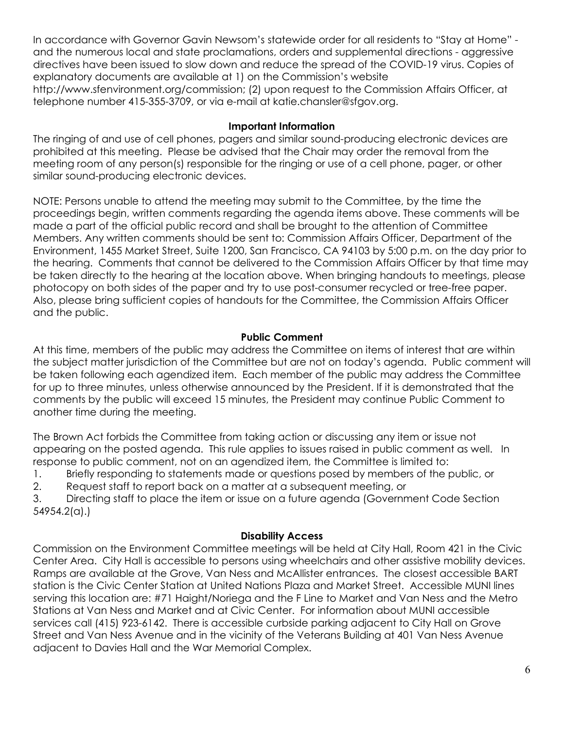In accordance with Governor Gavin Newsom's statewide order for all residents to "Stay at Home" and the numerous local and state proclamations, orders and supplemental directions - aggressive directives have been issued to slow down and reduce the spread of the COVID-19 virus. Copies of explanatory documents are available at 1) on the Commission's website http://www.sfenvironment.org/commission; (2) upon request to the Commission Affairs Officer, at telephone number 415-355-3709, or via e-mail at katie.chansler@sfgov.org.

# **Important Information**

The ringing of and use of cell phones, pagers and similar sound-producing electronic devices are prohibited at this meeting. Please be advised that the Chair may order the removal from the meeting room of any person(s) responsible for the ringing or use of a cell phone, pager, or other similar sound-producing electronic devices.

NOTE: Persons unable to attend the meeting may submit to the Committee, by the time the proceedings begin, written comments regarding the agenda items above. These comments will be made a part of the official public record and shall be brought to the attention of Committee Members. Any written comments should be sent to: Commission Affairs Officer, Department of the Environment, 1455 Market Street, Suite 1200, San Francisco, CA 94103 by 5:00 p.m. on the day prior to the hearing. Comments that cannot be delivered to the Commission Affairs Officer by that time may be taken directly to the hearing at the location above. When bringing handouts to meetings, please photocopy on both sides of the paper and try to use post-consumer recycled or tree-free paper. Also, please bring sufficient copies of handouts for the Committee, the Commission Affairs Officer and the public.

# **Public Comment**

At this time, members of the public may address the Committee on items of interest that are within the subject matter jurisdiction of the Committee but are not on today's agenda. Public comment will be taken following each agendized item. Each member of the public may address the Committee for up to three minutes, unless otherwise announced by the President. If it is demonstrated that the comments by the public will exceed 15 minutes, the President may continue Public Comment to another time during the meeting.

The Brown Act forbids the Committee from taking action or discussing any item or issue not appearing on the posted agenda. This rule applies to issues raised in public comment as well. In response to public comment, not on an agendized item, the Committee is limited to:

1. Briefly responding to statements made or questions posed by members of the public, or

2. Request staff to report back on a matter at a subsequent meeting, or

3. Directing staff to place the item or issue on a future agenda (Government Code Section 54954.2(a).)

## **Disability Access**

Commission on the Environment Committee meetings will be held at City Hall, Room 421 in the Civic Center Area. City Hall is accessible to persons using wheelchairs and other assistive mobility devices. Ramps are available at the Grove, Van Ness and McAllister entrances. The closest accessible BART station is the Civic Center Station at United Nations Plaza and Market Street. Accessible MUNI lines serving this location are: #71 Haight/Noriega and the F Line to Market and Van Ness and the Metro Stations at Van Ness and Market and at Civic Center. For information about MUNI accessible services call (415) 923-6142. There is accessible curbside parking adjacent to City Hall on Grove Street and Van Ness Avenue and in the vicinity of the Veterans Building at 401 Van Ness Avenue adjacent to Davies Hall and the War Memorial Complex.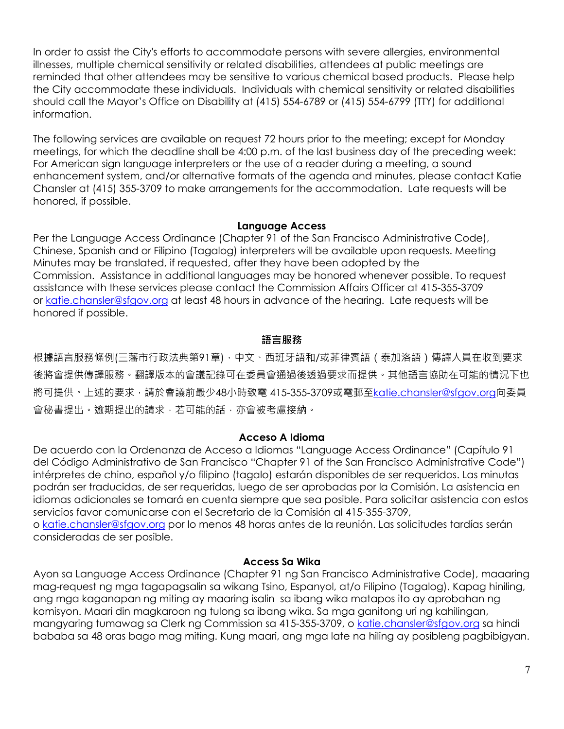In order to assist the City's efforts to accommodate persons with severe allergies, environmental illnesses, multiple chemical sensitivity or related disabilities, attendees at public meetings are reminded that other attendees may be sensitive to various chemical based products. Please help the City accommodate these individuals. Individuals with chemical sensitivity or related disabilities should call the Mayor's Office on Disability at (415) 554-6789 or (415) 554-6799 (TTY) for additional information.

The following services are available on request 72 hours prior to the meeting; except for Monday meetings, for which the deadline shall be 4:00 p.m. of the last business day of the preceding week: For American sign language interpreters or the use of a reader during a meeting, a sound enhancement system, and/or alternative formats of the agenda and minutes, please contact Katie Chansler at (415) 355-3709 to make arrangements for the accommodation. Late requests will be honored, if possible.

#### **Language Access**

Per the Language Access Ordinance (Chapter 91 of the San Francisco Administrative Code), Chinese, Spanish and or Filipino (Tagalog) interpreters will be available upon requests. Meeting Minutes may be translated, if requested, after they have been adopted by the Commission. Assistance in additional languages may be honored whenever possible. To request assistance with these services please contact the Commission Affairs Officer at 415-355-3709 or [katie.chansler@sfgov.org](mailto:katie.chansler@sfgov.org) at least 48 hours in advance of the hearing. Late requests will be honored if possible.

### **語言服務**

根據語言服務條例(三藩市行政法典第91章)‧中文、西班牙語和/或菲律賓語 ( 泰加洛語 ) 傳譯人員在收到要求 後將會提供傳譯服務。翻譯版本的會議記錄可在委員會通過後透過要求而提供。其他語言協助在可能的情況下也 將可提供。上述的要求,請於會議前最少48小時致電 415-355-3709或電郵至[katie.chansler@sfgov.org](mailto:katie.chansler@sfgov.org)向委員 會秘書提出。逾期提出的請求,若可能的話,亦會被考慮接納。

#### **Acceso A Idioma**

De acuerdo con la Ordenanza de Acceso a Idiomas "Language Access Ordinance" (Capítulo 91 del Código Administrativo de San Francisco "Chapter 91 of the San Francisco Administrative Code") intérpretes de chino, español y/o filipino (tagalo) estarán disponibles de ser requeridos. Las minutas podrán ser traducidas, de ser requeridas, luego de ser aprobadas por la Comisión. La asistencia en idiomas adicionales se tomará en cuenta siempre que sea posible. Para solicitar asistencia con estos servicios favor comunicarse con el Secretario de la Comisión al 415-355-3709,

o [katie.chansler@sfgov.org](mailto:katie.chansler@sfgov.org) por lo menos 48 horas antes de la reunión. Las solicitudes tardías serán consideradas de ser posible.

#### **Access Sa Wika**

Ayon sa Language Access Ordinance (Chapter 91 ng San Francisco Administrative Code), maaaring mag-request ng mga tagapagsalin sa wikang Tsino, Espanyol, at/o Filipino (Tagalog). Kapag hiniling, ang mga kaganapan ng miting ay maaring isalin sa ibang wika matapos ito ay aprobahan ng komisyon. Maari din magkaroon ng tulong sa ibang wika. Sa mga ganitong uri ng kahilingan, mangyaring tumawag sa Clerk ng Commission sa 415-355-3709, o [katie.chansler@sfgov.org](mailto:katie.chansler@sfgov.org) sa hindi bababa sa 48 oras bago mag miting. Kung maari, ang mga late na hiling ay posibleng pagbibigyan.